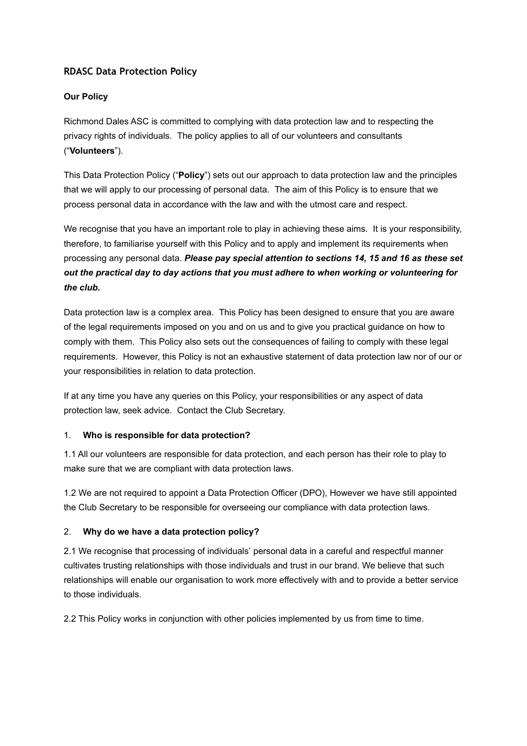# **RDASC Data Protection Policy**

### **Our Policy**

Richmond Dales ASC is committed to complying with data protection law and to respecting the privacy rights of individuals. The policy applies to all of our volunteers and consultants ("**Volunteers**").

This Data Protection Policy ("**Policy**") sets out our approach to data protection law and the principles that we will apply to our processing of personal data. The aim of this Policy is to ensure that we process personal data in accordance with the law and with the utmost care and respect.

We recognise that you have an important role to play in achieving these aims. It is your responsibility, therefore, to familiarise yourself with this Policy and to apply and implement its requirements when processing any personal data. *Please pay special attention to sections 14, 15 and 16 as these set out the practical day to day actions that you must adhere to when working or volunteering for the club.* 

Data protection law is a complex area. This Policy has been designed to ensure that you are aware of the legal requirements imposed on you and on us and to give you practical guidance on how to comply with them. This Policy also sets out the consequences of failing to comply with these legal requirements. However, this Policy is not an exhaustive statement of data protection law nor of our or your responsibilities in relation to data protection.

If at any time you have any queries on this Policy, your responsibilities or any aspect of data protection law, seek advice. Contact the Club Secretary.

#### 1. **Who is responsible for data protection?**

1.1 All our volunteers are responsible for data protection, and each person has their role to play to make sure that we are compliant with data protection laws.

1.2 We are not required to appoint a Data Protection Officer (DPO), However we have still appointed the Club Secretary to be responsible for overseeing our compliance with data protection laws.

# 2. **Why do we have a data protection policy?**

2.1 We recognise that processing of individuals' personal data in a careful and respectful manner cultivates trusting relationships with those individuals and trust in our brand. We believe that such relationships will enable our organisation to work more effectively with and to provide a better service to those individuals.

2.2 This Policy works in conjunction with other policies implemented by us from time to time.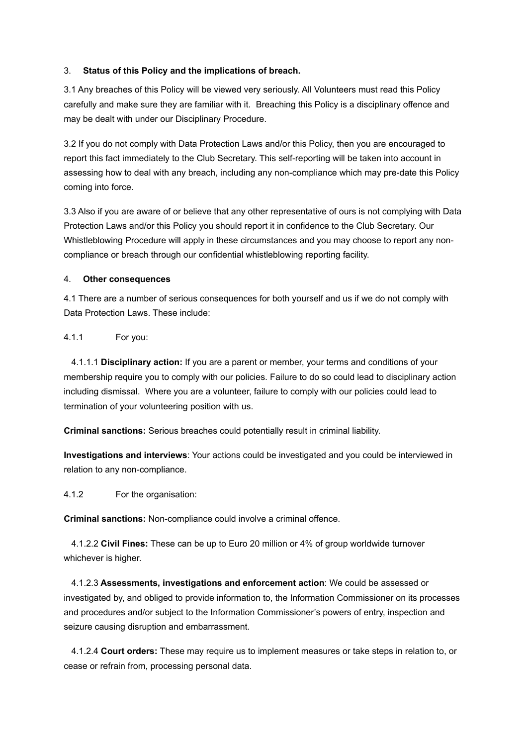### 3. **Status of this Policy and the implications of breach.**

3.1 Any breaches of this Policy will be viewed very seriously. All Volunteers must read this Policy carefully and make sure they are familiar with it. Breaching this Policy is a disciplinary offence and may be dealt with under our Disciplinary Procedure.

3.2 If you do not comply with Data Protection Laws and/or this Policy, then you are encouraged to report this fact immediately to the Club Secretary. This self-reporting will be taken into account in assessing how to deal with any breach, including any non-compliance which may pre-date this Policy coming into force.

3.3 Also if you are aware of or believe that any other representative of ours is not complying with Data Protection Laws and/or this Policy you should report it in confidence to the Club Secretary. Our Whistleblowing Procedure will apply in these circumstances and you may choose to report any noncompliance or breach through our confidential whistleblowing reporting facility.

### 4. **Other consequences**

4.1 There are a number of serious consequences for both yourself and us if we do not comply with Data Protection Laws. These include:

### 4.1.1 For you:

4.1.1.1 **Disciplinary action:** If you are a parent or member, your terms and conditions of your membership require you to comply with our policies. Failure to do so could lead to disciplinary action including dismissal. Where you are a volunteer, failure to comply with our policies could lead to termination of your volunteering position with us.

**Criminal sanctions:** Serious breaches could potentially result in criminal liability.

**Investigations and interviews**: Your actions could be investigated and you could be interviewed in relation to any non-compliance.

4.1.2 For the organisation:

**Criminal sanctions:** Non-compliance could involve a criminal offence.

4.1.2.2 **Civil Fines:** These can be up to Euro 20 million or 4% of group worldwide turnover whichever is higher.

4.1.2.3 **Assessments, investigations and enforcement action**: We could be assessed or investigated by, and obliged to provide information to, the Information Commissioner on its processes and procedures and/or subject to the Information Commissioner's powers of entry, inspection and seizure causing disruption and embarrassment.

4.1.2.4 **Court orders:** These may require us to implement measures or take steps in relation to, or cease or refrain from, processing personal data.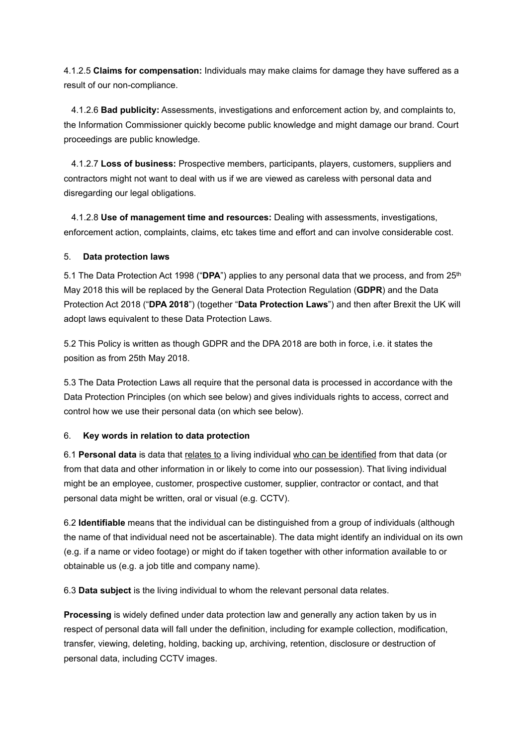4.1.2.5 **Claims for compensation:** Individuals may make claims for damage they have suffered as a result of our non-compliance.

4.1.2.6 **Bad publicity:** Assessments, investigations and enforcement action by, and complaints to, the Information Commissioner quickly become public knowledge and might damage our brand. Court proceedings are public knowledge.

4.1.2.7 **Loss of business:** Prospective members, participants, players, customers, suppliers and contractors might not want to deal with us if we are viewed as careless with personal data and disregarding our legal obligations.

4.1.2.8 **Use of management time and resources:** Dealing with assessments, investigations, enforcement action, complaints, claims, etc takes time and effort and can involve considerable cost.

#### 5. **Data protection laws**

5.1 The Data Protection Act 1998 ("**DPA**") applies to any personal data that we process, and from 25th May 2018 this will be replaced by the General Data Protection Regulation (**GDPR**) and the Data Protection Act 2018 ("**DPA 2018**") (together "**Data Protection Laws**") and then after Brexit the UK will adopt laws equivalent to these Data Protection Laws.

5.2 This Policy is written as though GDPR and the DPA 2018 are both in force, i.e. it states the position as from 25th May 2018.

5.3 The Data Protection Laws all require that the personal data is processed in accordance with the Data Protection Principles (on which see below) and gives individuals rights to access, correct and control how we use their personal data (on which see below).

#### 6. **Key words in relation to data protection**

6.1 **Personal data** is data that relates to a living individual who can be identified from that data (or from that data and other information in or likely to come into our possession). That living individual might be an employee, customer, prospective customer, supplier, contractor or contact, and that personal data might be written, oral or visual (e.g. CCTV).

6.2 **Identifiable** means that the individual can be distinguished from a group of individuals (although the name of that individual need not be ascertainable). The data might identify an individual on its own (e.g. if a name or video footage) or might do if taken together with other information available to or obtainable us (e.g. a job title and company name).

6.3 **Data subject** is the living individual to whom the relevant personal data relates.

**Processing** is widely defined under data protection law and generally any action taken by us in respect of personal data will fall under the definition, including for example collection, modification, transfer, viewing, deleting, holding, backing up, archiving, retention, disclosure or destruction of personal data, including CCTV images.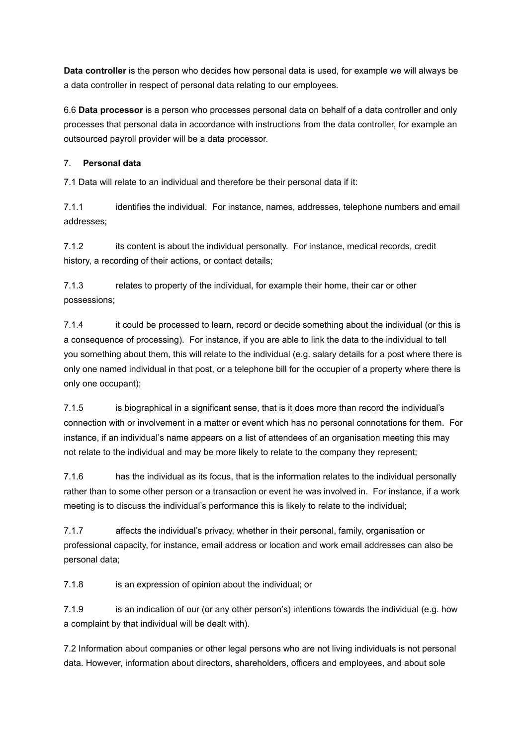**Data controller** is the person who decides how personal data is used, for example we will always be a data controller in respect of personal data relating to our employees.

6.6 **Data processor** is a person who processes personal data on behalf of a data controller and only processes that personal data in accordance with instructions from the data controller, for example an outsourced payroll provider will be a data processor.

### 7. **Personal data**

7.1 Data will relate to an individual and therefore be their personal data if it:

7.1.1 identifies the individual. For instance, names, addresses, telephone numbers and email addresses;

7.1.2 its content is about the individual personally. For instance, medical records, credit history, a recording of their actions, or contact details;

7.1.3 relates to property of the individual, for example their home, their car or other possessions;

7.1.4 it could be processed to learn, record or decide something about the individual (or this is a consequence of processing). For instance, if you are able to link the data to the individual to tell you something about them, this will relate to the individual (e.g. salary details for a post where there is only one named individual in that post, or a telephone bill for the occupier of a property where there is only one occupant);

7.1.5 is biographical in a significant sense, that is it does more than record the individual's connection with or involvement in a matter or event which has no personal connotations for them. For instance, if an individual's name appears on a list of attendees of an organisation meeting this may not relate to the individual and may be more likely to relate to the company they represent;

7.1.6 has the individual as its focus, that is the information relates to the individual personally rather than to some other person or a transaction or event he was involved in. For instance, if a work meeting is to discuss the individual's performance this is likely to relate to the individual;

7.1.7 affects the individual's privacy, whether in their personal, family, organisation or professional capacity, for instance, email address or location and work email addresses can also be personal data;

7.1.8 is an expression of opinion about the individual; or

7.1.9 is an indication of our (or any other person's) intentions towards the individual (e.g. how a complaint by that individual will be dealt with).

7.2 Information about companies or other legal persons who are not living individuals is not personal data. However, information about directors, shareholders, officers and employees, and about sole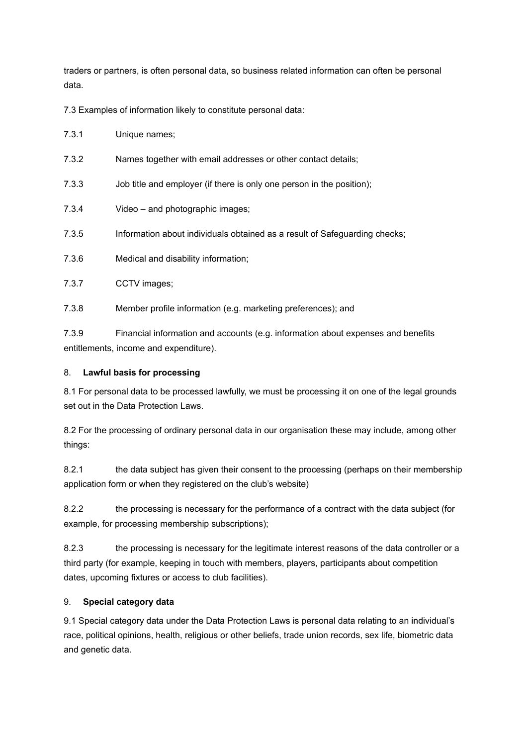traders or partners, is often personal data, so business related information can often be personal data.

7.3 Examples of information likely to constitute personal data:

7.3.1 Unique names;

- 7.3.2 Names together with email addresses or other contact details;
- 7.3.3 Job title and employer (if there is only one person in the position);
- 7.3.4 Video and photographic images;
- 7.3.5 Information about individuals obtained as a result of Safeguarding checks;
- 7.3.6 Medical and disability information;
- 7.3.7 CCTV images;
- 7.3.8 Member profile information (e.g. marketing preferences); and

7.3.9 Financial information and accounts (e.g. information about expenses and benefits entitlements, income and expenditure).

#### 8. **Lawful basis for processing**

8.1 For personal data to be processed lawfully, we must be processing it on one of the legal grounds set out in the Data Protection Laws.

8.2 For the processing of ordinary personal data in our organisation these may include, among other things:

8.2.1 the data subject has given their consent to the processing (perhaps on their membership application form or when they registered on the club's website)

8.2.2 the processing is necessary for the performance of a contract with the data subject (for example, for processing membership subscriptions);

8.2.3 the processing is necessary for the legitimate interest reasons of the data controller or a third party (for example, keeping in touch with members, players, participants about competition dates, upcoming fixtures or access to club facilities).

#### 9. **Special category data**

9.1 Special category data under the Data Protection Laws is personal data relating to an individual's race, political opinions, health, religious or other beliefs, trade union records, sex life, biometric data and genetic data.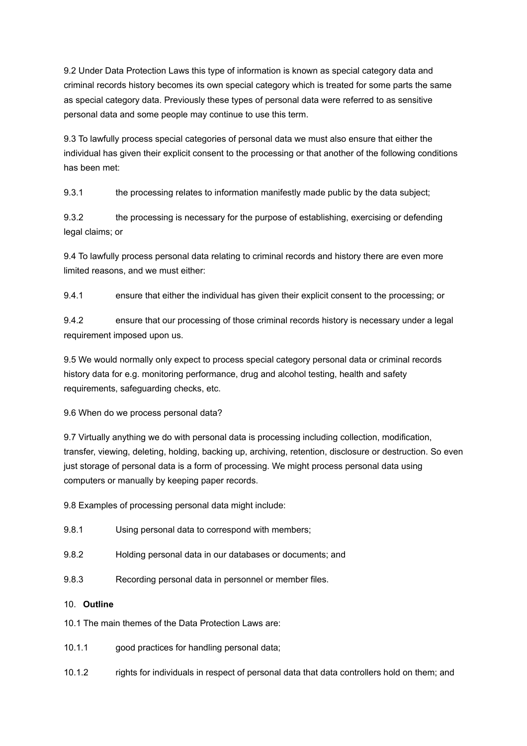9.2 Under Data Protection Laws this type of information is known as special category data and criminal records history becomes its own special category which is treated for some parts the same as special category data. Previously these types of personal data were referred to as sensitive personal data and some people may continue to use this term.

9.3 To lawfully process special categories of personal data we must also ensure that either the individual has given their explicit consent to the processing or that another of the following conditions has been met:

9.3.1 the processing relates to information manifestly made public by the data subject;

9.3.2 the processing is necessary for the purpose of establishing, exercising or defending legal claims; or

9.4 To lawfully process personal data relating to criminal records and history there are even more limited reasons, and we must either:

9.4.1 ensure that either the individual has given their explicit consent to the processing; or

9.4.2 ensure that our processing of those criminal records history is necessary under a legal requirement imposed upon us.

9.5 We would normally only expect to process special category personal data or criminal records history data for e.g. monitoring performance, drug and alcohol testing, health and safety requirements, safeguarding checks, etc.

9.6 When do we process personal data?

9.7 Virtually anything we do with personal data is processing including collection, modification, transfer, viewing, deleting, holding, backing up, archiving, retention, disclosure or destruction. So even just storage of personal data is a form of processing. We might process personal data using computers or manually by keeping paper records.

9.8 Examples of processing personal data might include:

- 9.8.1 Using personal data to correspond with members;
- 9.8.2 Holding personal data in our databases or documents; and
- 9.8.3 Recording personal data in personnel or member files.

#### 10. **Outline**

- 10.1 The main themes of the Data Protection Laws are:
- 10.1.1 good practices for handling personal data;
- 10.1.2 rights for individuals in respect of personal data that data controllers hold on them; and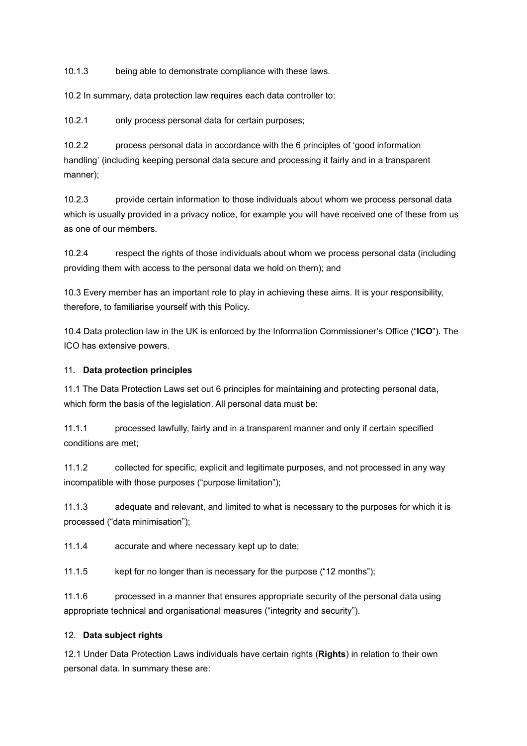10.1.3 being able to demonstrate compliance with these laws.

10.2 In summary, data protection law requires each data controller to:

10.2.1 only process personal data for certain purposes;

10.2.2 process personal data in accordance with the 6 principles of 'good information handling' (including keeping personal data secure and processing it fairly and in a transparent manner);

10.2.3 provide certain information to those individuals about whom we process personal data which is usually provided in a privacy notice, for example you will have received one of these from us as one of our members.

10.2.4 respect the rights of those individuals about whom we process personal data (including providing them with access to the personal data we hold on them); and

10.3 Every member has an important role to play in achieving these aims. It is your responsibility, therefore, to familiarise yourself with this Policy.

10.4 Data protection law in the UK is enforced by the Information Commissioner's Office ("**ICO**"). The ICO has extensive powers.

#### 11. **Data protection principles**

11.1 The Data Protection Laws set out 6 principles for maintaining and protecting personal data, which form the basis of the legislation. All personal data must be:

11.1.1 processed lawfully, fairly and in a transparent manner and only if certain specified conditions are met;

11.1.2 collected for specific, explicit and legitimate purposes, and not processed in any way incompatible with those purposes ("purpose limitation");

11.1.3 adequate and relevant, and limited to what is necessary to the purposes for which it is processed ("data minimisation");

11.1.4 accurate and where necessary kept up to date;

11.1.5 kept for no longer than is necessary for the purpose ("12 months");

11.1.6 processed in a manner that ensures appropriate security of the personal data using appropriate technical and organisational measures ("integrity and security").

#### 12. **Data subject rights**

12.1 Under Data Protection Laws individuals have certain rights (**Rights**) in relation to their own personal data. In summary these are: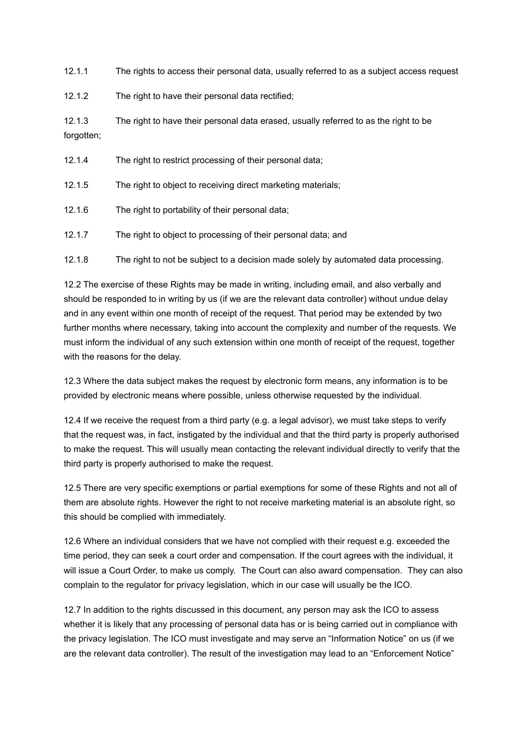12.1.1 The rights to access their personal data, usually referred to as a subject access request

12.1.2 The right to have their personal data rectified;

12.1.3 The right to have their personal data erased, usually referred to as the right to be forgotten;

| 12.1.4 | The right to restrict processing of their personal data;      |
|--------|---------------------------------------------------------------|
| 12.1.5 | The right to object to receiving direct marketing materials;  |
| 12.1.6 | The right to portability of their personal data;              |
| 12.1.7 | The right to object to processing of their personal data; and |
|        |                                                               |

12.1.8 The right to not be subject to a decision made solely by automated data processing.

12.2 The exercise of these Rights may be made in writing, including email, and also verbally and should be responded to in writing by us (if we are the relevant data controller) without undue delay and in any event within one month of receipt of the request. That period may be extended by two further months where necessary, taking into account the complexity and number of the requests. We must inform the individual of any such extension within one month of receipt of the request, together with the reasons for the delay.

12.3 Where the data subject makes the request by electronic form means, any information is to be provided by electronic means where possible, unless otherwise requested by the individual.

12.4 If we receive the request from a third party (e.g. a legal advisor), we must take steps to verify that the request was, in fact, instigated by the individual and that the third party is properly authorised to make the request. This will usually mean contacting the relevant individual directly to verify that the third party is properly authorised to make the request.

12.5 There are very specific exemptions or partial exemptions for some of these Rights and not all of them are absolute rights. However the right to not receive marketing material is an absolute right, so this should be complied with immediately.

12.6 Where an individual considers that we have not complied with their request e.g. exceeded the time period, they can seek a court order and compensation. If the court agrees with the individual, it will issue a Court Order, to make us comply. The Court can also award compensation. They can also complain to the regulator for privacy legislation, which in our case will usually be the ICO.

12.7 In addition to the rights discussed in this document, any person may ask the ICO to assess whether it is likely that any processing of personal data has or is being carried out in compliance with the privacy legislation. The ICO must investigate and may serve an "Information Notice" on us (if we are the relevant data controller). The result of the investigation may lead to an "Enforcement Notice"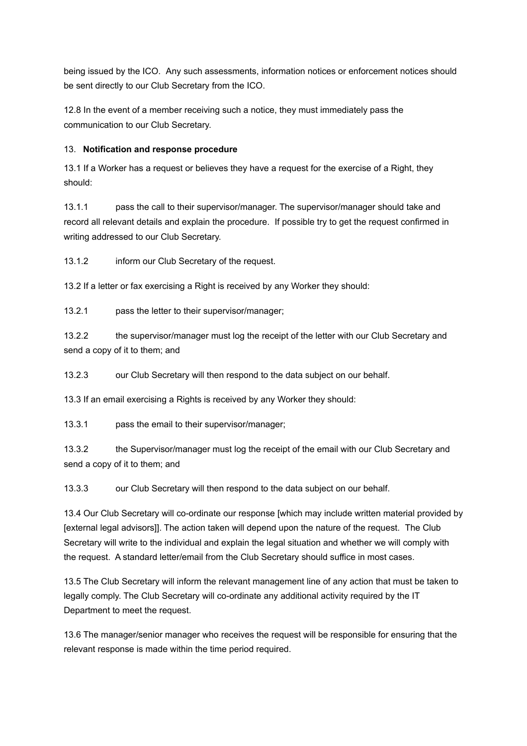being issued by the ICO. Any such assessments, information notices or enforcement notices should be sent directly to our Club Secretary from the ICO.

12.8 In the event of a member receiving such a notice, they must immediately pass the communication to our Club Secretary.

### 13. **Notification and response procedure**

13.1 If a Worker has a request or believes they have a request for the exercise of a Right, they should:

13.1.1 pass the call to their supervisor/manager. The supervisor/manager should take and record all relevant details and explain the procedure. If possible try to get the request confirmed in writing addressed to our Club Secretary.

13.1.2 inform our Club Secretary of the request.

13.2 If a letter or fax exercising a Right is received by any Worker they should:

13.2.1 pass the letter to their supervisor/manager;

13.2.2 the supervisor/manager must log the receipt of the letter with our Club Secretary and send a copy of it to them; and

13.2.3 our Club Secretary will then respond to the data subject on our behalf.

13.3 If an email exercising a Rights is received by any Worker they should:

13.3.1 pass the email to their supervisor/manager;

13.3.2 the Supervisor/manager must log the receipt of the email with our Club Secretary and send a copy of it to them; and

13.3.3 our Club Secretary will then respond to the data subject on our behalf.

13.4 Our Club Secretary will co-ordinate our response [which may include written material provided by [external legal advisors]]. The action taken will depend upon the nature of the request. The Club Secretary will write to the individual and explain the legal situation and whether we will comply with the request. A standard letter/email from the Club Secretary should suffice in most cases.

13.5 The Club Secretary will inform the relevant management line of any action that must be taken to legally comply. The Club Secretary will co-ordinate any additional activity required by the IT Department to meet the request.

13.6 The manager/senior manager who receives the request will be responsible for ensuring that the relevant response is made within the time period required.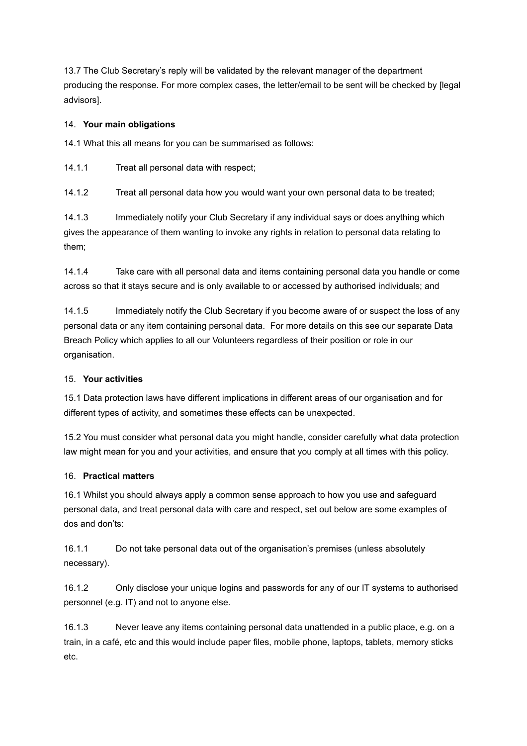13.7 The Club Secretary's reply will be validated by the relevant manager of the department producing the response. For more complex cases, the letter/email to be sent will be checked by [legal advisors].

# 14. **Your main obligations**

14.1 What this all means for you can be summarised as follows:

14.1.1 Treat all personal data with respect;

14.1.2 Treat all personal data how you would want your own personal data to be treated;

14.1.3 Immediately notify your Club Secretary if any individual says or does anything which gives the appearance of them wanting to invoke any rights in relation to personal data relating to them;

14.1.4 Take care with all personal data and items containing personal data you handle or come across so that it stays secure and is only available to or accessed by authorised individuals; and

14.1.5 Immediately notify the Club Secretary if you become aware of or suspect the loss of any personal data or any item containing personal data. For more details on this see our separate Data Breach Policy which applies to all our Volunteers regardless of their position or role in our organisation.

# 15. **Your activities**

15.1 Data protection laws have different implications in different areas of our organisation and for different types of activity, and sometimes these effects can be unexpected.

15.2 You must consider what personal data you might handle, consider carefully what data protection law might mean for you and your activities, and ensure that you comply at all times with this policy.

# 16. **Practical matters**

16.1 Whilst you should always apply a common sense approach to how you use and safeguard personal data, and treat personal data with care and respect, set out below are some examples of dos and don'ts:

16.1.1 Do not take personal data out of the organisation's premises (unless absolutely necessary).

16.1.2 Only disclose your unique logins and passwords for any of our IT systems to authorised personnel (e.g. IT) and not to anyone else.

16.1.3 Never leave any items containing personal data unattended in a public place, e.g. on a train, in a café, etc and this would include paper files, mobile phone, laptops, tablets, memory sticks etc.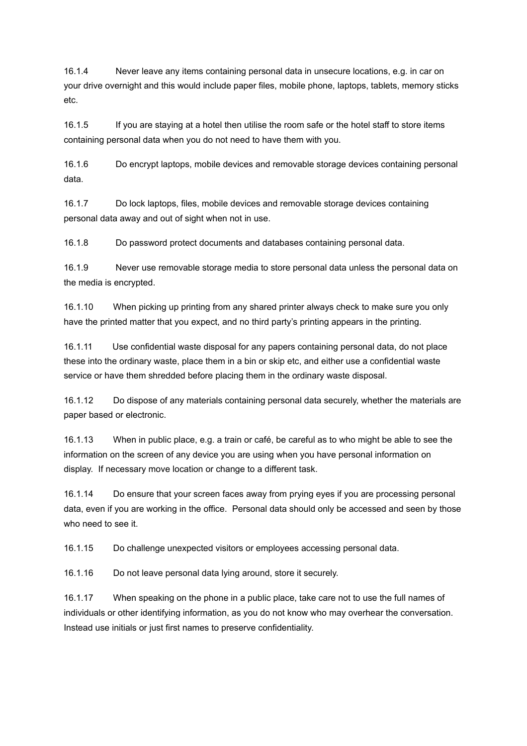16.1.4 Never leave any items containing personal data in unsecure locations, e.g. in car on your drive overnight and this would include paper files, mobile phone, laptops, tablets, memory sticks etc.

16.1.5 If you are staying at a hotel then utilise the room safe or the hotel staff to store items containing personal data when you do not need to have them with you.

16.1.6 Do encrypt laptops, mobile devices and removable storage devices containing personal data.

16.1.7 Do lock laptops, files, mobile devices and removable storage devices containing personal data away and out of sight when not in use.

16.1.8 Do password protect documents and databases containing personal data.

16.1.9 Never use removable storage media to store personal data unless the personal data on the media is encrypted.

16.1.10 When picking up printing from any shared printer always check to make sure you only have the printed matter that you expect, and no third party's printing appears in the printing.

16.1.11 Use confidential waste disposal for any papers containing personal data, do not place these into the ordinary waste, place them in a bin or skip etc, and either use a confidential waste service or have them shredded before placing them in the ordinary waste disposal.

16.1.12 Do dispose of any materials containing personal data securely, whether the materials are paper based or electronic.

16.1.13 When in public place, e.g. a train or café, be careful as to who might be able to see the information on the screen of any device you are using when you have personal information on display. If necessary move location or change to a different task.

16.1.14 Do ensure that your screen faces away from prying eyes if you are processing personal data, even if you are working in the office. Personal data should only be accessed and seen by those who need to see it.

16.1.15 Do challenge unexpected visitors or employees accessing personal data.

16.1.16 Do not leave personal data lying around, store it securely.

16.1.17 When speaking on the phone in a public place, take care not to use the full names of individuals or other identifying information, as you do not know who may overhear the conversation. Instead use initials or just first names to preserve confidentiality.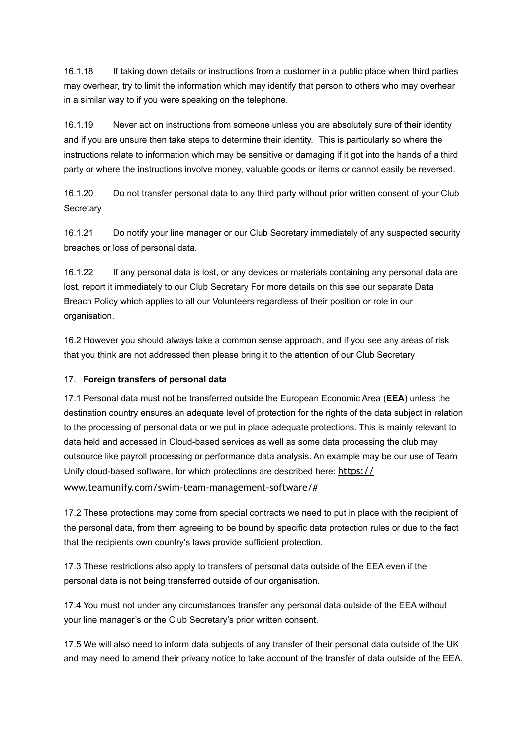16.1.18 If taking down details or instructions from a customer in a public place when third parties may overhear, try to limit the information which may identify that person to others who may overhear in a similar way to if you were speaking on the telephone.

16.1.19 Never act on instructions from someone unless you are absolutely sure of their identity and if you are unsure then take steps to determine their identity. This is particularly so where the instructions relate to information which may be sensitive or damaging if it got into the hands of a third party or where the instructions involve money, valuable goods or items or cannot easily be reversed.

16.1.20 Do not transfer personal data to any third party without prior written consent of your Club **Secretary** 

16.1.21 Do notify your line manager or our Club Secretary immediately of any suspected security breaches or loss of personal data.

16.1.22 If any personal data is lost, or any devices or materials containing any personal data are lost, report it immediately to our Club Secretary For more details on this see our separate Data Breach Policy which applies to all our Volunteers regardless of their position or role in our organisation.

16.2 However you should always take a common sense approach, and if you see any areas of risk that you think are not addressed then please bring it to the attention of our Club Secretary

# 17. **Foreign transfers of personal data**

17.1 Personal data must not be transferred outside the European Economic Area (**EEA**) unless the destination country ensures an adequate level of protection for the rights of the data subject in relation to the processing of personal data or we put in place adequate protections. This is mainly relevant to data held and accessed in Cloud-based services as well as some data processing the club may outsource like payroll processing or performance data analysis. An example may be our use of Team Unify cloud-based software, for which protections are described here: https:// [www.teamunify.com/swim-team-management-software/#](https://www.teamunify.com/swim-team-management-software/#)

17.2 These protections may come from special contracts we need to put in place with the recipient of the personal data, from them agreeing to be bound by specific data protection rules or due to the fact that the recipients own country's laws provide sufficient protection.

17.3 These restrictions also apply to transfers of personal data outside of the EEA even if the personal data is not being transferred outside of our organisation.

17.4 You must not under any circumstances transfer any personal data outside of the EEA without your line manager's or the Club Secretary's prior written consent.

17.5 We will also need to inform data subjects of any transfer of their personal data outside of the UK and may need to amend their privacy notice to take account of the transfer of data outside of the EEA.